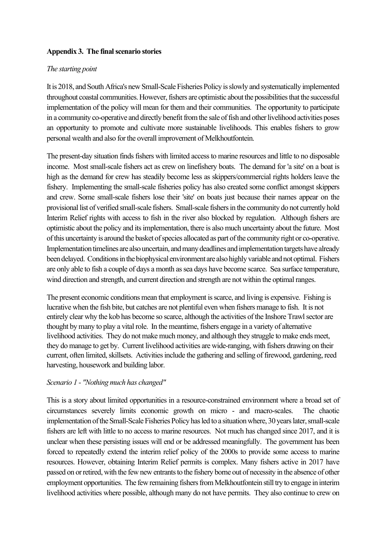# **Appendix 3. The final scenario stories**

## *The starting point*

It is 2018, and South Africa's new Small-Scale Fisheries Policy is slowly and systematically implemented throughout coastal communities. However, fishers are optimistic about the possibilities that the successful implementation of the policy will mean for them and their communities. The opportunity to participate in a community co-operative and directly benefit from the sale of fish and other livelihood activities poses an opportunity to promote and cultivate more sustainable livelihoods. This enables fishers to grow personal wealth and also for the overall improvement of Melkhoutfontein.

The present-day situation finds fishers with limited access to marine resources and little to no disposable income. Most small-scale fishers act as crew on linefishery boats. The demand for 'a site' on a boat is high as the demand for crew has steadily become less as skippers/commercial rights holders leave the fishery. Implementing the small-scale fisheries policy has also created some conflict amongst skippers and crew. Some small-scale fishers lose their 'site' on boats just because their names appear on the provisional list of verified small-scale fishers. Small-scale fishers in the community do not currently hold Interim Relief rights with access to fish in the river also blocked by regulation. Although fishers are optimistic about the policy and its implementation, there is also much uncertainty about the future. Most of this uncertainty is around the basket of species allocated as part of the community right or co-operative. Implementation timelines are also uncertain, and many deadlines and implementation targets have already been delayed. Conditions in the biophysical environment are also highly variable and not optimal. Fishers are only able to fish a couple of days a month as sea days have become scarce. Sea surface temperature, wind direction and strength, and current direction and strength are not within the optimal ranges.

The present economic conditions mean that employment is scarce, and living is expensive. Fishing is lucrative when the fish bite, but catches are not plentiful even when fishers manage to fish. It is not entirely clear why the kob has become so scarce, although the activities of the Inshore Trawl sector are thought by many to play a vital role. In the meantime, fishers engage in a variety of alternative livelihood activities. They do not make much money, and although they struggle to make ends meet, they do manage to get by. Current livelihood activities are wide-ranging, with fishers drawing on their current, often limited, skillsets. Activities include the gathering and selling of firewood, gardening, reed harvesting, housework and building labor.

# *Scenario 1 - "Nothing much has changed"*

This is a story about limited opportunities in a resource-constrained environment where a broad set of circumstances severely limits economic growth on micro - and macro-scales. The chaotic implementation of the Small-Scale Fisheries Policy has led to a situation where, 30 years later, small-scale fishers are left with little to no access to marine resources. Not much has changed since 2017, and it is unclear when these persisting issues will end or be addressed meaningfully. The government has been forced to repeatedly extend the interim relief policy of the 2000s to provide some access to marine resources. However, obtaining Interim Relief permits is complex. Many fishers active in 2017 have passed on or retired, with the few new entrants to the fishery borne out of necessity in the absence of other employment opportunities. The few remaining fishers from Melkhoutfontein still try to engage in interim livelihood activities where possible, although many do not have permits. They also continue to crew on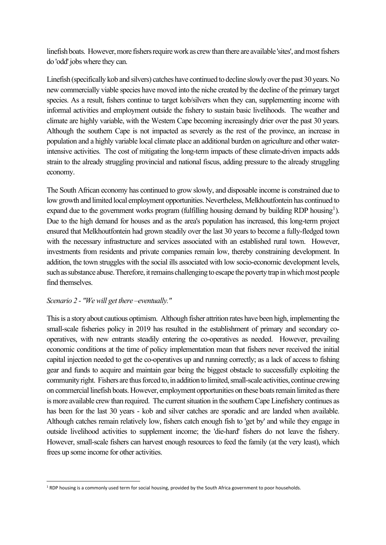linefish boats. However, more fishers require work as crew than there are available 'sites', and most fishers do 'odd' jobs where they can.

Linefish (specifically kob and silvers) catches have continued to decline slowly over the past 30 years. No new commercially viable species have moved into the niche created by the decline of the primary target species. As a result, fishers continue to target kob/silvers when they can, supplementing income with informal activities and employment outside the fishery to sustain basic livelihoods. The weather and climate are highly variable, with the Western Cape becoming increasingly drier over the past 30 years. Although the southern Cape is not impacted as severely as the rest of the province, an increase in population and a highly variable local climate place an additional burden on agriculture and other waterintensive activities. The cost of mitigating the long-term impacts of these climate-driven impacts adds strain to the already struggling provincial and national fiscus, adding pressure to the already struggling economy.

The South African economy has continued to grow slowly, and disposable income is constrained due to low growth and limited local employment opportunities. Nevertheless, Melkhoutfontein has continued to expand due to the government works program (fulfilling housing demand by building RDP housing<sup>1</sup>). Due to the high demand for houses and as the area's population has increased, this long-term project ensured that Melkhoutfontein had grown steadily over the last 30 years to become a fully-fledged town with the necessary infrastructure and services associated with an established rural town. However, investments from residents and private companies remain low, thereby constraining development. In addition, the town struggles with the social ills associated with low socio-economic development levels, such as substance abuse. Therefore, it remains challenging to escape the poverty trap in which most people find themselves.

#### *Scenario 2 - "We will get there –eventually."*

This is a story about cautious optimism. Although fisher attrition rates have been high, implementing the small-scale fisheries policy in 2019 has resulted in the establishment of primary and secondary cooperatives, with new entrants steadily entering the co-operatives as needed. However, prevailing economic conditions at the time of policy implementation mean that fishers never received the initial capital injection needed to get the co-operatives up and running correctly; as a lack of access to fishing gear and funds to acquire and maintain gear being the biggest obstacle to successfully exploiting the community right. Fishers are thus forced to, in addition to limited, small-scale activities, continue crewing on commercial linefish boats. However, employment opportunities on these boats remain limited as there is more available crew than required. The current situation in the southern Cape Linefishery continues as has been for the last 30 years - kob and silver catches are sporadic and are landed when available. Although catches remain relatively low, fishers catch enough fish to 'get by' and while they engage in outside livelihood activities to supplement income; the 'die-hard' fishers do not leave the fishery. However, small-scale fishers can harvest enough resources to feed the family (at the very least), which frees up some income for other activities.

<span id="page-1-0"></span><sup>&</sup>lt;sup>1</sup> RDP housing is a commonly used term for social housing, provided by the South Africa government to poor households.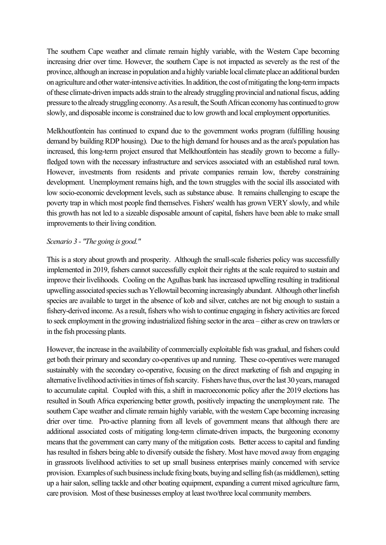The southern Cape weather and climate remain highly variable, with the Western Cape becoming increasing drier over time. However, the southern Cape is not impacted as severely as the rest of the province, although an increase in population and a highly variable local climate place an additional burden on agriculture and other water-intensive activities. In addition, the cost of mitigating the long-term impacts of these climate-driven impacts adds strain to the already struggling provincial and national fiscus, adding pressure to the already struggling economy. As a result, the South African economy has continued to grow slowly, and disposable income is constrained due to low growth and local employment opportunities.

Melkhoutfontein has continued to expand due to the government works program (fulfilling housing demand by building RDP housing). Due to the high demand for houses and as the area's population has increased, this long-term project ensured that Melkhoutfontein has steadily grown to become a fullyfledged town with the necessary infrastructure and services associated with an established rural town. However, investments from residents and private companies remain low, thereby constraining development. Unemployment remains high, and the town struggles with the social ills associated with low socio-economic development levels, such as substance abuse. It remains challenging to escape the poverty trap in which most people find themselves. Fishers' wealth has grown VERY slowly, and while this growth has not led to a sizeable disposable amount of capital, fishers have been able to make small improvements to their living condition.

## *Scenario 3 - "The going is good."*

This is a story about growth and prosperity. Although the small-scale fisheries policy was successfully implemented in 2019, fishers cannot successfully exploit their rights at the scale required to sustain and improve their livelihoods. Cooling on the Agulhas bank has increased upwelling resulting in traditional upwelling associated species such as Yellowtail becoming increasingly abundant. Although other linefish species are available to target in the absence of kob and silver, catches are not big enough to sustain a fishery-derived income. As a result, fishers who wish to continue engaging in fishery activities are forced to seek employment in the growing industrialized fishing sector in the area – either as crew on trawlers or in the fish processing plants.

However, the increase in the availability of commercially exploitable fish was gradual, and fishers could get both their primary and secondary co-operatives up and running. These co-operatives were managed sustainably with the secondary co-operative, focusing on the direct marketing of fish and engaging in alternative livelihood activities in times of fish scarcity. Fishers have thus, over the last 30 years, managed to accumulate capital. Coupled with this, a shift in macroeconomic policy after the 2019 elections has resulted in South Africa experiencing better growth, positively impacting the unemployment rate. The southern Cape weather and climate remain highly variable, with the western Cape becoming increasing drier over time. Pro-active planning from all levels of government means that although there are additional associated costs of mitigating long-term climate-driven impacts, the burgeoning economy means that the government can carry many of the mitigation costs. Better access to capital and funding has resulted in fishers being able to diversify outside the fishery. Most have moved away from engaging in grassroots livelihood activities to set up small business enterprises mainly concerned with service provision. Examples of such business include fixing boats, buying and selling fish (as middlemen), setting up a hair salon, selling tackle and other boating equipment, expanding a current mixed agriculture farm, care provision. Most of these businesses employ at least two/three local community members.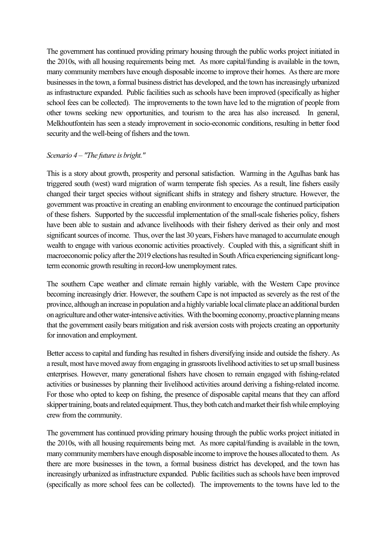The government has continued providing primary housing through the public works project initiated in the 2010s, with all housing requirements being met. As more capital/funding is available in the town, many community members have enough disposable income to improve their homes. As there are more businesses in the town, a formal business district has developed, and the town has increasingly urbanized as infrastructure expanded. Public facilities such as schools have been improved (specifically as higher school fees can be collected). The improvements to the town have led to the migration of people from other towns seeking new opportunities, and tourism to the area has also increased. In general, Melkhoutfontein has seen a steady improvement in socio-economic conditions, resulting in better food security and the well-being of fishers and the town.

## *Scenario 4 – "The future is bright."*

This is a story about growth, prosperity and personal satisfaction. Warming in the Agulhas bank has triggered south (west) ward migration of warm temperate fish species. As a result, line fishers easily changed their target species without significant shifts in strategy and fishery structure. However, the government was proactive in creating an enabling environment to encourage the continued participation of these fishers. Supported by the successful implementation of the small-scale fisheries policy, fishers have been able to sustain and advance livelihoods with their fishery derived as their only and most significant sources of income. Thus, over the last 30 years, Fishers have managed to accumulate enough wealth to engage with various economic activities proactively. Coupled with this, a significant shift in macroeconomic policy after the 2019 elections has resulted in South Africa experiencing significant longterm economic growth resulting in record-low unemployment rates.

The southern Cape weather and climate remain highly variable, with the Western Cape province becoming increasingly drier. However, the southern Cape is not impacted as severely as the rest of the province, although an increase in population and a highly variable local climate place an additional burden on agriculture and other water-intensive activities. With the booming economy, proactive planning means that the government easily bears mitigation and risk aversion costs with projects creating an opportunity for innovation and employment.

Better access to capital and funding has resulted in fishers diversifying inside and outside the fishery. As a result, most have moved away from engaging in grassroots livelihood activities to set up small business enterprises. However, many generational fishers have chosen to remain engaged with fishing-related activities or businesses by planning their livelihood activities around deriving a fishing-related income. For those who opted to keep on fishing, the presence of disposable capital means that they can afford skipper training, boats and related equipment. Thus, they both catch and market their fish while employing crew from the community.

The government has continued providing primary housing through the public works project initiated in the 2010s, with all housing requirements being met. As more capital/funding is available in the town, many community members have enough disposable income to improve the houses allocated to them. As there are more businesses in the town, a formal business district has developed, and the town has increasingly urbanized as infrastructure expanded. Public facilities such as schools have been improved (specifically as more school fees can be collected). The improvements to the towns have led to the